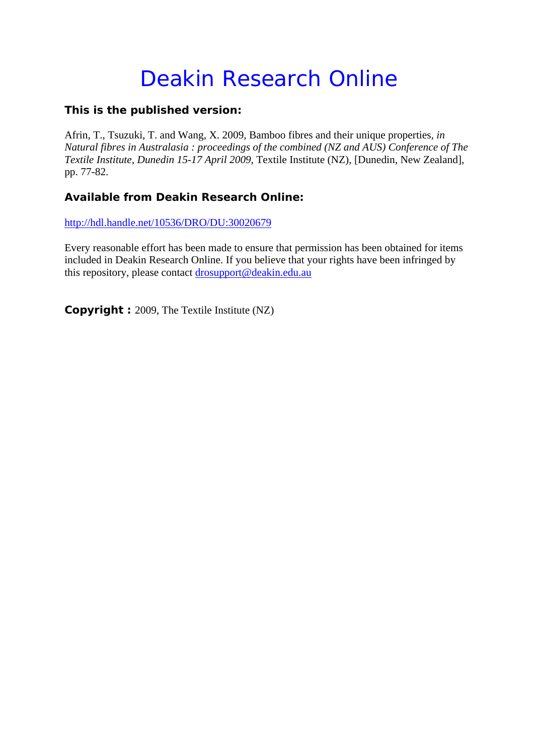# Deakin Research Online

# **This is the published version:**

Afrin, T., Tsuzuki, T. and Wang, X. 2009, Bamboo fibres and their unique properties*, in Natural fibres in Australasia : proceedings of the combined (NZ and AUS) Conference of The Textile Institute, Dunedin 15-17 April 2009*, Textile Institute (NZ), [Dunedin, New Zealand], pp. 77-82.

# **Available from Deakin Research Online:**

http://hdl.handle.net/10536/DRO/DU:30020679

Every reasonable effort has been made to ensure that permission has been obtained for items included in Deakin Research Online. If you believe that your rights have been infringed by this repository, please contact drosupport@deakin.edu.au

**Copyright :** 2009, The Textile Institute (NZ)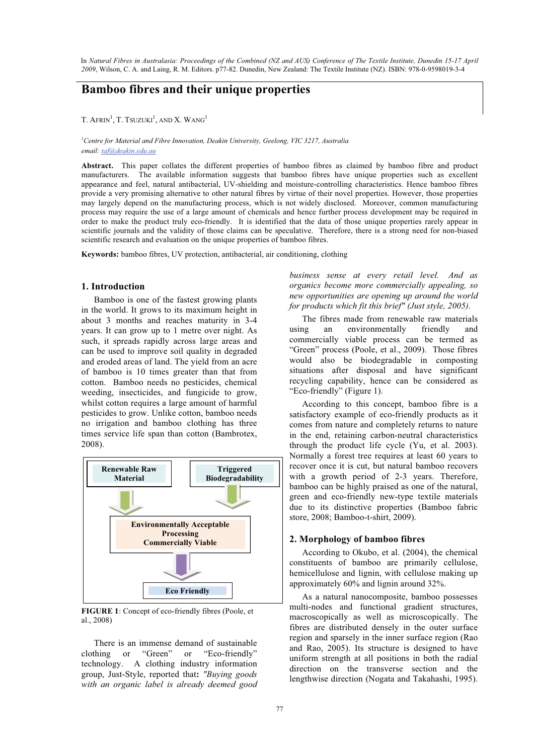In *Natural Fibres in Australasia: Proceedings of the Combined (NZ and AUS) Conference of The Textile Institute, Dunedin 15-17 April 2009*, Wilson, C. A. and Laing, R. M. Editors. p77-82. Dunedin, New Zealand: The Textile Institute (NZ). ISBN: 978-0-9598019-3-4

## **Bamboo fibres and their unique properties**

T. AFRIN<sup>1</sup>, T. Tsuzuki<sup>1</sup>, and X. Wang<sup>1</sup>

#### <sup>1</sup> Centre for Material and Fibre Innovation, Deakin University, Geelong, VIC 3217, Australia *email: taf@deakin.edu.au*

**Abstract.** This paper collates the different properties of bamboo fibres as claimed by bamboo fibre and product manufacturers. The available information suggests that bamboo fibres have unique properties such as excellent appearance and feel, natural antibacterial, UV-shielding and moisture-controlling characteristics. Hence bamboo fibres provide a very promising alternative to other natural fibres by virtue of their novel properties. However, those properties may largely depend on the manufacturing process, which is not widely disclosed. Moreover, common manufacturing process may require the use of a large amount of chemicals and hence further process development may be required in order to make the product truly eco-friendly. It is identified that the data of those unique properties rarely appear in scientific journals and the validity of those claims can be speculative. Therefore, there is a strong need for non-biased scientific research and evaluation on the unique properties of bamboo fibres.

**Keywords:** bamboo fibres, UV protection, antibacterial, air conditioning, clothing

#### **1. Introduction**

Bamboo is one of the fastest growing plants in the world. It grows to its maximum height in about 3 months and reaches maturity in 3-4 years. It can grow up to 1 metre over night. As such, it spreads rapidly across large areas and can be used to improve soil quality in degraded and eroded areas of land. The yield from an acre of bamboo is 10 times greater than that from cotton. Bamboo needs no pesticides, chemical weeding, insecticides, and fungicide to grow, whilst cotton requires a large amount of harmful pesticides to grow. Unlike cotton, bamboo needs no irrigation and bamboo clothing has three times service life span than cotton (Bambrotex, 2008).



**FIGURE 1**: Concept of eco-friendly fibres (Poole, et al., 2008)

There is an immense demand of sustainable clothing or "Green" or "Eco-friendly" technology. A clothing industry information group, Just-Style, reported that**:** *"Buying goods with an organic label is already deemed good*

*business sense at every retail level. And as organics become more commercially appealing, so new opportunities are opening up around the world for products which fit this brief" (Just style, 2005).*

The fibres made from renewable raw materials using an environmentally friendly and commercially viable process can be termed as "Green" process (Poole, et al., 2009). Those fibres would also be biodegradable in composting situations after disposal and have significant recycling capability, hence can be considered as "Eco-friendly" (Figure 1).

According to this concept, bamboo fibre is a satisfactory example of eco-friendly products as it comes from nature and completely returns to nature in the end, retaining carbon-neutral characteristics through the product life cycle (Yu, et al. 2003). Normally a forest tree requires at least 60 years to recover once it is cut, but natural bamboo recovers with a growth period of 2-3 years. Therefore, bamboo can be highly praised as one of the natural, green and eco-friendly new-type textile materials due to its distinctive properties (Bamboo fabric store, 2008; Bamboo-t-shirt, 2009).

## **2. Morphology of bamboo fibres**

According to Okubo, et al. (2004), the chemical constituents of bamboo are primarily cellulose, hemicellulose and lignin, with cellulose making up approximately 60% and lignin around 32%.

As a natural nanocomposite, bamboo possesses multi-nodes and functional gradient structures, macroscopically as well as microscopically. The fibres are distributed densely in the outer surface region and sparsely in the inner surface region (Rao and Rao, 2005). Its structure is designed to have uniform strength at all positions in both the radial direction on the transverse section and the lengthwise direction (Nogata and Takahashi, 1995).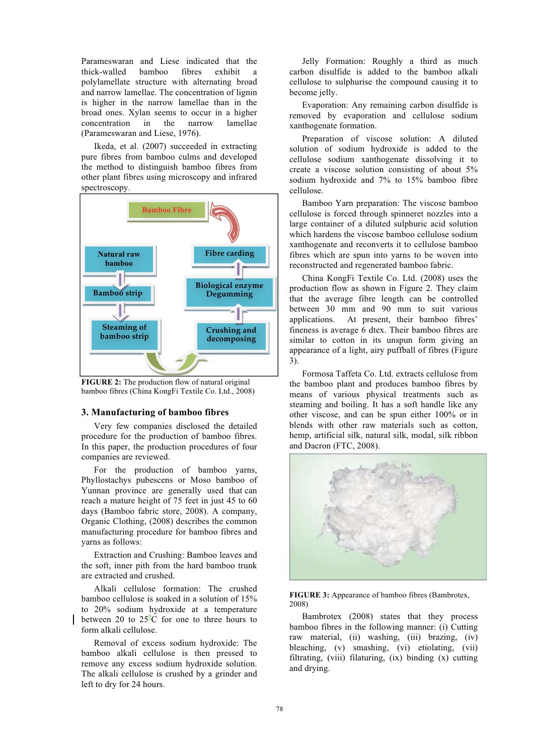Parameswaran and Liese indicated that the thick-walled bamboo fibres exhibit a polylamellate structure with alternating broad and narrow lamellae. The concentration of lignin is higher in the narrow lamellae than in the broad ones. Xylan seems to occur in a higher concentration in the narrow lamellae (Parameswaran and Liese, 1976).

Ikeda, et al. (2007) succeeded in extracting pure fibres from bamboo culms and developed the method to distinguish bamboo fibres from other plant fibres using microscopy and infrared spectroscopy.



**FIGURE 2:** The production flow of natural original bamboo fibres (China KongFi Textile Co. Ltd., 2008)

#### **3. Manufacturing of bamboo fibres**

Very few companies disclosed the detailed procedure for the production of bamboo fibres. In this paper, the production procedures of four companies are reviewed.

For the production of bamboo yarns, Phyllostachys pubescens or Moso bamboo of Yunnan province are generally used that can reach a mature height of 75 feet in just 45 to 60 days (Bamboo fabric store, 2008). A company, Organic Clothing, (2008) describes the common manufacturing procedure for bamboo fibres and yarns as follows:

Extraction and Crushing: Bamboo leaves and the soft, inner pith from the hard bamboo trunk are extracted and crushed.

Alkali cellulose formation: The crushed bamboo cellulose is soaked in a solution of 15% to 20% sodium hydroxide at a temperature between 20 to  $25^{\circ}$ C for one to three hours to form alkali cellulose.

Removal of excess sodium hydroxide: The bamboo alkali cellulose is then pressed to remove any excess sodium hydroxide solution. The alkali cellulose is crushed by a grinder and left to dry for 24 hours.

Jelly Formation: Roughly a third as much carbon disulfide is added to the bamboo alkali cellulose to sulphurise the compound causing it to become jelly.

Evaporation: Any remaining carbon disulfide is removed by evaporation and cellulose sodium xanthogenate formation.

Preparation of viscose solution: A diluted solution of sodium hydroxide is added to the cellulose sodium xanthogenate dissolving it to create a viscose solution consisting of about 5% sodium hydroxide and 7% to 15% bamboo fibre cellulose.

Bamboo Yarn preparation: The viscose bamboo cellulose is forced through spinneret nozzles into a large container of a diluted sulphuric acid solution which hardens the viscose bamboo cellulose sodium xanthogenate and reconverts it to cellulose bamboo fibres which are spun into yarns to be woven into reconstructed and regenerated bamboo fabric.

China KongFi Textile Co. Ltd. (2008) uses the production flow as shown in Figure 2. They claim that the average fibre length can be controlled between 30 mm and 90 mm to suit various applications. At present, their bamboo fibres' fineness is average 6 dtex. Their bamboo fibres are similar to cotton in its unspun form giving an appearance of a light, airy puffball of fibres (Figure 3).

Formosa Taffeta Co. Ltd. extracts cellulose from the bamboo plant and produces bamboo fibres by means of various physical treatments such as steaming and boiling. It has a soft handle like any other viscose, and can be spun either 100% or in blends with other raw materials such as cotton, hemp, artificial silk, natural silk, modal, silk ribbon and Dacron (FTC, 2008).



**FIGURE 3:** Appearance of bamboo fibres (Bambrotex, 2008)

Bambrotex (2008) states that they process bamboo fibres in the following manner: (i) Cutting raw material, (ii) washing, (iii) brazing, (iv) bleaching, (v) smashing, (vi) etiolating, (vii) filtrating, (viii) filaturing, (ix) binding (x) cutting and drying.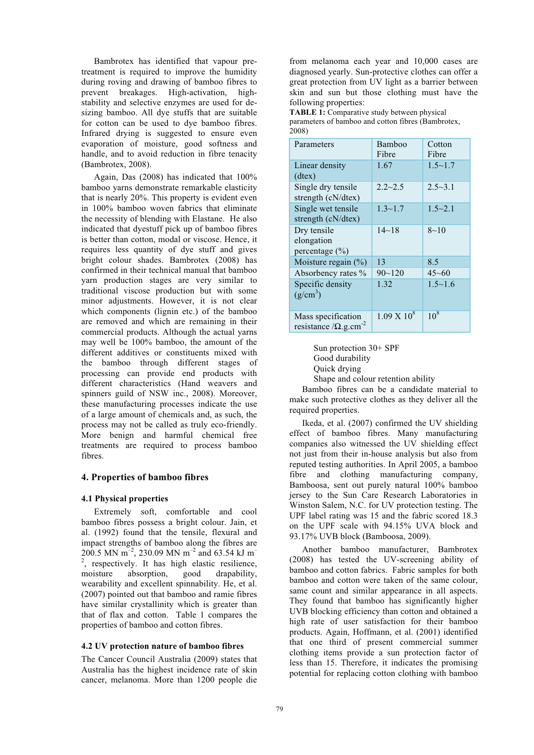Bambrotex has identified that vapour pretreatment is required to improve the humidity during roving and drawing of bamboo fibres to prevent breakages. High-activation, highstability and selective enzymes are used for desizing bamboo. All dye stuffs that are suitable for cotton can be used to dye bamboo fibres. Infrared drying is suggested to ensure even evaporation of moisture, good softness and handle, and to avoid reduction in fibre tenacity (Bambrotex, 2008).

Again, Das (2008) has indicated that 100% bamboo yarns demonstrate remarkable elasticity that is nearly 20%. This property is evident even in 100% bamboo woven fabrics that eliminate the necessity of blending with Elastane. He also indicated that dyestuff pick up of bamboo fibres is better than cotton, modal or viscose. Hence, it requires less quantity of dye stuff and gives bright colour shades. Bambrotex (2008) has confirmed in their technical manual that bamboo yarn production stages are very similar to traditional viscose production but with some minor adjustments. However, it is not clear which components (lignin etc.) of the bamboo are removed and which are remaining in their commercial products. Although the actual yarns may well be 100% bamboo, the amount of the different additives or constituents mixed with the bamboo through different stages of processing can provide end products with different characteristics (Hand weavers and spinners guild of NSW inc., 2008). Moreover, these manufacturing processes indicate the use of a large amount of chemicals and, as such, the process may not be called as truly eco-friendly. More benign and harmful chemical free treatments are required to process bamboo fibres.

#### **4. Properties of bamboo fibres**

#### **4.1 Physical properties**

Extremely soft, comfortable and cool bamboo fibres possess a bright colour. Jain, et al. (1992) found that the tensile, flexural and impact strengths of bamboo along the fibres are 200.5 MN  $\text{m}^{-2}$ , 230.09 MN  $\text{m}^{-2}$  and 63.54 kJ  $\text{m}^{-2}$ , respectively. It has high elastic resilience, moisture absorption, good drapability, wearability and excellent spinnability. He, et al. (2007) pointed out that bamboo and ramie fibres have similar crystallinity which is greater than that of flax and cotton. Table 1 compares the properties of bamboo and cotton fibres.

#### **4.2 UV protection nature of bamboo fibres**

The Cancer Council Australia (2009) states that Australia has the highest incidence rate of skin cancer, melanoma. More than 1200 people die

from melanoma each year and 10,000 cases are diagnosed yearly. Sun-protective clothes can offer a great protection from UV light as a barrier between skin and sun but those clothing must have the following properties:

**TABLE 1:** Comparative study between physical parameters of bamboo and cotton fibres (Bambrotex, 2008)

| Parameters                                                      | Bamboo<br>Fibre    | Cotton<br>Fibre |  |  |
|-----------------------------------------------------------------|--------------------|-----------------|--|--|
| Linear density<br>$(dtext{tex})$                                | 1.67               | $1.5 \sim 1.7$  |  |  |
| Single dry tensile<br>strength (cN/dtex)                        | $2.2 - 2.5$        | $2.5 - 3.1$     |  |  |
| Single wet tensile<br>strength $(cN/dtex)$                      | $1.3 - 1.7$        | $1.5 - 2.1$     |  |  |
| Dry tensile<br>elongation<br>percentage $(\% )$                 | $14 - 18$          | $8 - 10$        |  |  |
| Moisture regain $(\% )$                                         | 13                 | 8.5             |  |  |
| Absorbency rates %                                              | $90 - 120$         | $45 - 60$       |  |  |
| Specific density<br>$(g/cm^3)$                                  | 1.32               | $1.5 \sim 1.6$  |  |  |
| Mass specification<br>resistance / $\Omega$ .g.cm <sup>-2</sup> | $1.09 \times 10^8$ | $10^{8}$        |  |  |

Sun protection 30+ SPF Good durability Quick drying Shape and colour retention ability

Bamboo fibres can be a candidate material to make such protective clothes as they deliver all the required properties.

Ikeda, et al. (2007) confirmed the UV shielding effect of bamboo fibres. Many manufacturing companies also witnessed the UV shielding effect not just from their in-house analysis but also from reputed testing authorities. In April 2005, a bamboo fibre and clothing manufacturing company, Bamboosa, sent out purely natural 100% bamboo jersey to the Sun Care Research Laboratories in Winston Salem, N.C. for UV protection testing. The UPF label rating was 15 and the fabric scored 18.3 on the UPF scale with 94.15% UVA block and 93.17% UVB block (Bamboosa, 2009).

Another bamboo manufacturer, Bambrotex (2008) has tested the UV-screening ability of bamboo and cotton fabrics. Fabric samples for both bamboo and cotton were taken of the same colour, same count and similar appearance in all aspects. They found that bamboo has significantly higher UVB blocking efficiency than cotton and obtained a high rate of user satisfaction for their bamboo products. Again, Hoffmann, et al. (2001) identified that one third of present commercial summer clothing items provide a sun protection factor of less than 15. Therefore, it indicates the promising potential for replacing cotton clothing with bamboo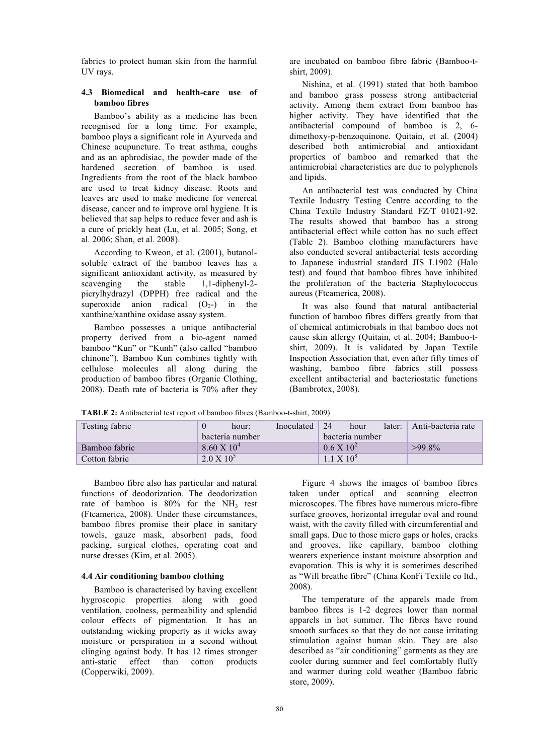fabrics to protect human skin from the harmful UV rays.

## **4.3 Biomedical and health-care use of bamboo fibres**

Bamboo's ability as a medicine has been recognised for a long time. For example, bamboo plays a significant role in Ayurveda and Chinese acupuncture. To treat asthma, coughs and as an aphrodisiac, the powder made of the hardened secretion of bamboo is used. Ingredients from the root of the black bamboo are used to treat kidney disease. Roots and leaves are used to make medicine for venereal disease, cancer and to improve oral hygiene. It is believed that sap helps to reduce fever and ash is a cure of prickly heat (Lu, et al. 2005; Song, et al. 2006; Shan, et al. 2008).

According to Kweon, et al. (2001), butanolsoluble extract of the bamboo leaves has a significant antioxidant activity, as measured by scavenging the stable 1,1-diphenyl-2picrylhydrazyl (DPPH) free radical and the superoxide anion radical  $(O<sub>2</sub>-)$  in the xanthine/xanthine oxidase assay system.

Bamboo possesses a unique antibacterial property derived from a bio-agent named bamboo "Kun" or "Kunh" (also called "bamboo chinone"). Bamboo Kun combines tightly with cellulose molecules all along during the production of bamboo fibres (Organic Clothing, 2008). Death rate of bacteria is 70% after they

are incubated on bamboo fibre fabric (Bamboo-tshirt, 2009).

Nishina, et al. (1991) stated that both bamboo and bamboo grass possess strong antibacterial activity. Among them extract from bamboo has higher activity. They have identified that the antibacterial compound of bamboo is 2, 6 dimethoxy-p-benzoquinone. Quitain, et al. (2004) described both antimicrobial and antioxidant properties of bamboo and remarked that the antimicrobial characteristics are due to polyphenols and lipids.

An antibacterial test was conducted by China Textile Industry Testing Centre according to the China Textile Industry Standard FZ/T 01021-92. The results showed that bamboo has a strong antibacterial effect while cotton has no such effect (Table 2). Bamboo clothing manufacturers have also conducted several antibacterial tests according to Japanese industrial standard JIS L1902 (Halo test) and found that bamboo fibres have inhibited the proliferation of the bacteria Staphylococcus aureus (Ftcamerica, 2008).

It was also found that natural antibacterial function of bamboo fibres differs greatly from that of chemical antimicrobials in that bamboo does not cause skin allergy (Quitain, et al. 2004; Bamboo-tshirt, 2009). It is validated by Japan Textile Inspection Association that, even after fifty times of washing, bamboo fibre fabrics still possess excellent antibacterial and bacteriostatic functions (Bambrotex, 2008).

**TABLE 2:** Antibacterial test report of bamboo fibres (Bamboo-t-shirt, 2009)

| Testing fabric |                      | hour: | Inoculated | 24                  | hour | later: | Anti-bacteria rate |
|----------------|----------------------|-------|------------|---------------------|------|--------|--------------------|
|                | bacteria number      |       |            | bacteria number     |      |        |                    |
| Bamboo fabric  | $8.60 \times 10^{4}$ |       |            | $0.6 \times 10^{2}$ |      |        | $>99.8\%$          |
| Cotton fabric  | $2.0 \times 10^{5}$  |       |            | $1.1 \times 10^8$   |      |        |                    |

Bamboo fibre also has particular and natural functions of deodorization. The deodorization rate of bamboo is  $80\%$  for the NH<sub>3</sub> test (Ftcamerica, 2008). Under these circumstances, bamboo fibres promise their place in sanitary towels, gauze mask, absorbent pads, food packing, surgical clothes, operating coat and nurse dresses (Kim, et al. 2005).

#### **4.4 Air conditioning bamboo clothing**

Bamboo is characterised by having excellent hygroscopic properties along with good ventilation, coolness, permeability and splendid colour effects of pigmentation. It has an outstanding wicking property as it wicks away moisture or perspiration in a second without clinging against body. It has 12 times stronger anti-static effect than cotton products (Copperwiki, 2009).

Figure 4 shows the images of bamboo fibres taken under optical and scanning electron microscopes. The fibres have numerous micro-fibre surface grooves, horizontal irregular oval and round waist, with the cavity filled with circumferential and small gaps. Due to those micro gaps or holes, cracks and grooves, like capillary, bamboo clothing wearers experience instant moisture absorption and evaporation. This is why it is sometimes described as "Will breathe fibre" (China KonFi Textile co ltd., 2008).

The temperature of the apparels made from bamboo fibres is 1-2 degrees lower than normal apparels in hot summer. The fibres have round smooth surfaces so that they do not cause irritating stimulation against human skin. They are also described as "air conditioning" garments as they are cooler during summer and feel comfortably fluffy and warmer during cold weather (Bamboo fabric store, 2009).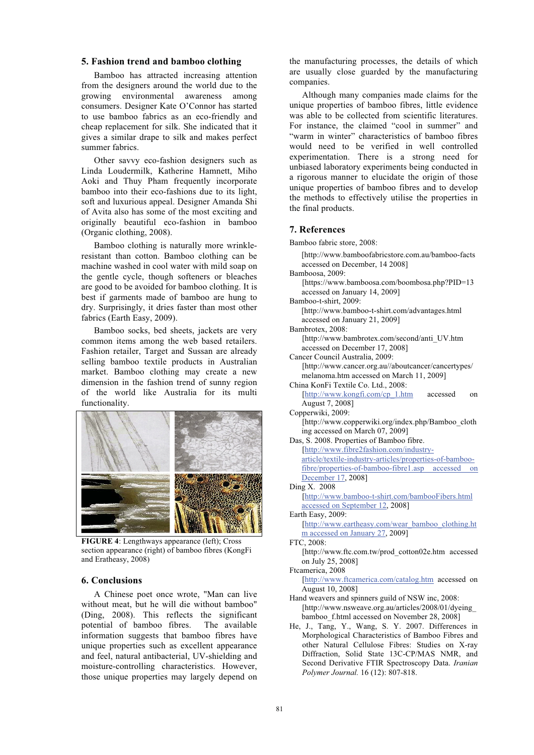### **5. Fashion trend and bamboo clothing**

Bamboo has attracted increasing attention from the designers around the world due to the growing environmental awareness among consumers. Designer Kate O'Connor has started to use bamboo fabrics as an eco-friendly and cheap replacement for silk. She indicated that it gives a similar drape to silk and makes perfect summer fabrics.

Other savvy eco-fashion designers such as Linda Loudermilk, Katherine Hamnett, Miho Aoki and Thuy Pham frequently incorporate bamboo into their eco-fashions due to its light, soft and luxurious appeal. Designer Amanda Shi of Avita also has some of the most exciting and originally beautiful eco-fashion in bamboo (Organic clothing, 2008).

Bamboo clothing is naturally more wrinkleresistant than cotton. Bamboo clothing can be machine washed in cool water with mild soap on the gentle cycle, though softeners or bleaches are good to be avoided for bamboo clothing. It is best if garments made of bamboo are hung to dry. Surprisingly, it dries faster than most other fabrics (Earth Easy, 2009).

Bamboo socks, bed sheets, jackets are very common items among the web based retailers. Fashion retailer, Target and Sussan are already selling bamboo textile products in Australian market. Bamboo clothing may create a new dimension in the fashion trend of sunny region of the world like Australia for its multi functionality.



**FIGURE 4**: Lengthways appearance (left); Cross section appearance (right) of bamboo fibres (KongFi and Eratheasy, 2008)

#### **6. Conclusions**

A Chinese poet once wrote, "Man can live without meat, but he will die without bamboo" (Ding, 2008). This reflects the significant potential of bamboo fibres. The available information suggests that bamboo fibres have unique properties such as excellent appearance and feel, natural antibacterial, UV-shielding and moisture-controlling characteristics. However, those unique properties may largely depend on

the manufacturing processes, the details of which are usually close guarded by the manufacturing companies.

Although many companies made claims for the unique properties of bamboo fibres, little evidence was able to be collected from scientific literatures. For instance, the claimed "cool in summer" and "warm in winter" characteristics of bamboo fibres would need to be verified in well controlled experimentation. There is a strong need for unbiased laboratory experiments being conducted in a rigorous manner to elucidate the origin of those unique properties of bamboo fibres and to develop the methods to effectively utilise the properties in the final products.

## **7. References**

Bamboo fabric store, 2008:

 [http://www.bamboofabricstore.com.au/bamboo-facts accessed on December, 14 2008] Bamboosa, 2009:

[https://www.bamboosa.com/boombosa.php?PID=13 accessed on January 14, 2009]

Bamboo-t-shirt, 2009:

 [http://www.bamboo-t-shirt.com/advantages.html accessed on January 21, 2009]

Bambrotex, 2008: [http://www.bambrotex.com/second/anti\_UV.htm accessed on December 17, 2008]

Cancer Council Australia, 2009:

[http://www.cancer.org.au//aboutcancer/cancertypes/ melanoma.htm accessed on March 11, 2009]

China KonFi Textile Co. Ltd., 2008:

[http://www.kongfi.com/cp\_1.htm accessed on August 7, 2008]

# Copperwiki, 2009:

[http://www.copperwiki.org/index.php/Bamboo\_cloth ing accessed on March 07, 2009]

Das, S. 2008. Properties of Bamboo fibre. [http://www.fibre2fashion.com/industryarticle/textile-industry-articles/properties-of-bamboofibre/properties-of-bamboo-fibre1.asp accessed on December 17, 2008] Ding X. 2008

- [http://www.bamboo-t-shirt.com/bambooFibers.html accessed on September 12, 2008]
- Earth Easy, 2009:

[http://www.eartheasy.com/wear\_bamboo\_clothing.ht m accessed on January 27, 2009]

#### FTC, 2008:

[http://www.ftc.com.tw/prod\_cotton02e.htm accessed on July 25, 2008]

Ftcamerica, 2008 [http://www.ftcamerica.com/catalog.htm accessed on

- August 10, 2008] Hand weavers and spinners guild of NSW inc, 2008: [http://www.nsweave.org.au/articles/2008/01/dyeing\_ bamboo f.html accessed on November 28, 2008]
- He, J., Tang, Y., Wang, S. Y. 2007. Differences in Morphological Characteristics of Bamboo Fibres and other Natural Cellulose Fibres: Studies on X-ray Diffraction, Solid State 13C-CP/MAS NMR, and Second Derivative FTIR Spectroscopy Data. *Iranian Polymer Journal.* 16 (12): 807-818.